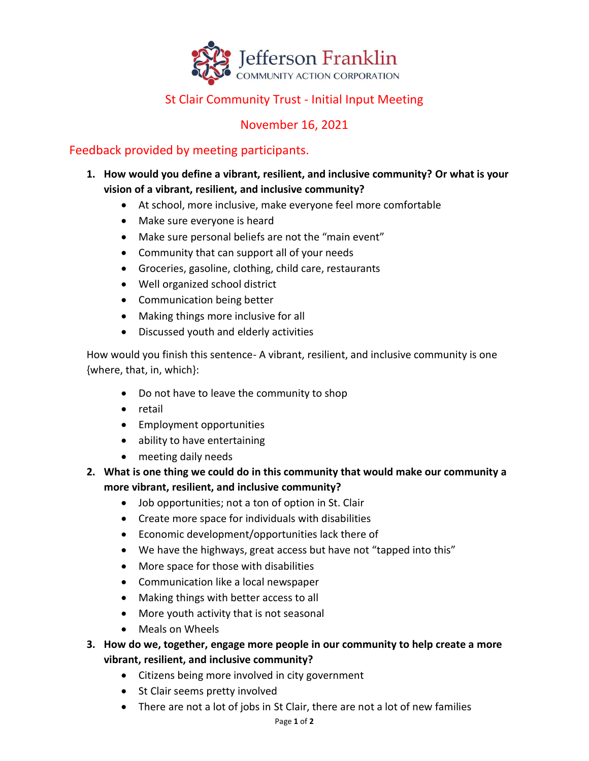

## St Clair Community Trust - Initial Input Meeting

## November 16, 2021

## Feedback provided by meeting participants.

- **1. How would you define a vibrant, resilient, and inclusive community? Or what is your vision of a vibrant, resilient, and inclusive community?**
	- At school, more inclusive, make everyone feel more comfortable
	- Make sure everyone is heard
	- Make sure personal beliefs are not the "main event"
	- Community that can support all of your needs
	- Groceries, gasoline, clothing, child care, restaurants
	- Well organized school district
	- Communication being better
	- Making things more inclusive for all
	- Discussed youth and elderly activities

How would you finish this sentence- A vibrant, resilient, and inclusive community is one {where, that, in, which}:

- Do not have to leave the community to shop
- retail
- Employment opportunities
- ability to have entertaining
- meeting daily needs
- **2. What is one thing we could do in this community that would make our community a more vibrant, resilient, and inclusive community?**
	- Job opportunities; not a ton of option in St. Clair
	- Create more space for individuals with disabilities
	- Economic development/opportunities lack there of
	- We have the highways, great access but have not "tapped into this"
	- More space for those with disabilities
	- Communication like a local newspaper
	- Making things with better access to all
	- More youth activity that is not seasonal
	- Meals on Wheels
- **3. How do we, together, engage more people in our community to help create a more vibrant, resilient, and inclusive community?**
	- Citizens being more involved in city government
	- St Clair seems pretty involved
	- There are not a lot of jobs in St Clair, there are not a lot of new families